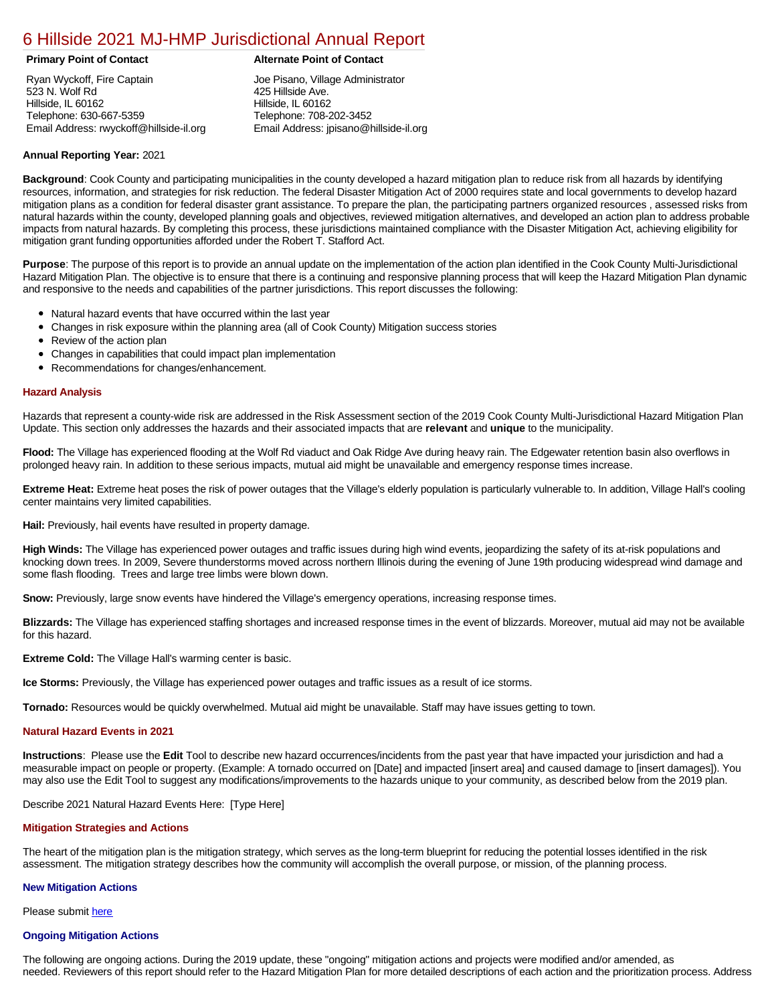# [6 Hillside 2021 MJ-HMP Jurisdictional Annual Report](https://hillside.isc-cemp.com/Cemp/Details?id=8322741)

Ryan Wyckoff, Fire Captain 523 N. Wolf Rd Hillside, IL 60162 Telephone: 630-667-5359 Email Address: rwyckoff@hillside-il.org

# **Primary Point of Contact Alternate Point of Contact**

Joe Pisano, Village Administrator 425 Hillside Ave. Hillside, IL 60162 Telephone: 708-202-3452 Email Address: jpisano@hillside-il.org

# **Annual Reporting Year:** 2021

**Background**: Cook County and participating municipalities in the county developed a hazard mitigation plan to reduce risk from all hazards by identifying resources, information, and strategies for risk reduction. The federal Disaster Mitigation Act of 2000 requires state and local governments to develop hazard mitigation plans as a condition for federal disaster grant assistance. To prepare the plan, the participating partners organized resources , assessed risks from natural hazards within the county, developed planning goals and objectives, reviewed mitigation alternatives, and developed an action plan to address probable impacts from natural hazards. By completing this process, these jurisdictions maintained compliance with the Disaster Mitigation Act, achieving eligibility for mitigation grant funding opportunities afforded under the Robert T. Stafford Act.

**Purpose**: The purpose of this report is to provide an annual update on the implementation of the action plan identified in the Cook County Multi-Jurisdictional Hazard Mitigation Plan. The objective is to ensure that there is a continuing and responsive planning process that will keep the Hazard Mitigation Plan dynamic and responsive to the needs and capabilities of the partner jurisdictions. This report discusses the following:

- Natural hazard events that have occurred within the last year
- $\bullet$ Changes in risk exposure within the planning area (all of Cook County) Mitigation success stories
- Review of the action plan  $\bullet$
- $\bullet$ Changes in capabilities that could impact plan implementation
- Recommendations for changes/enhancement.

### **Hazard Analysis**

Hazards that represent a county-wide risk are addressed in the Risk Assessment section of the 2019 Cook County Multi-Jurisdictional Hazard Mitigation Plan Update. This section only addresses the hazards and their associated impacts that are **relevant** and **unique** to the municipality.

**Flood:** The Village has experienced flooding at the Wolf Rd viaduct and Oak Ridge Ave during heavy rain. The Edgewater retention basin also overflows in prolonged heavy rain. In addition to these serious impacts, mutual aid might be unavailable and emergency response times increase.

**Extreme Heat:** Extreme heat poses the risk of power outages that the Village's elderly population is particularly vulnerable to. In addition, Village Hall's cooling center maintains very limited capabilities.

**Hail:** Previously, hail events have resulted in property damage.

**High Winds:** The Village has experienced power outages and traffic issues during high wind events, jeopardizing the safety of its at-risk populations and knocking down trees. In 2009, Severe thunderstorms moved across northern Illinois during the evening of June 19th producing widespread wind damage and some flash flooding. Trees and large tree limbs were blown down.

**Snow:** Previously, large snow events have hindered the Village's emergency operations, increasing response times.

**Blizzards:** The Village has experienced staffing shortages and increased response times in the event of blizzards. Moreover, mutual aid may not be available for this hazard.

**Extreme Cold:** The Village Hall's warming center is basic.

**Ice Storms:** Previously, the Village has experienced power outages and traffic issues as a result of ice storms.

**Tornado:** Resources would be quickly overwhelmed. Mutual aid might be unavailable. Staff may have issues getting to town.

### **Natural Hazard Events in 2021**

**Instructions**: Please use the **Edit** Tool to describe new hazard occurrences/incidents from the past year that have impacted your jurisdiction and had a measurable impact on people or property. (Example: A tornado occurred on [Date] and impacted [insert area] and caused damage to [insert damages]). You may also use the Edit Tool to suggest any modifications/improvements to the hazards unique to your community, as described below from the 2019 plan.

Describe 2021 Natural Hazard Events Here: [Type Here]

# **Mitigation Strategies and Actions**

The heart of the mitigation plan is the mitigation strategy, which serves as the long-term blueprint for reducing the potential losses identified in the risk assessment. The mitigation strategy describes how the community will accomplish the overall purpose, or mission, of the planning process.

#### **New Mitigation Actions**

Please submit [here](https://integratedsolutions.wufoo.com/forms/mg21jvf0jn639o/)

#### **Ongoing Mitigation Actions**

The following are ongoing actions. During the 2019 update, these "ongoing" mitigation actions and projects were modified and/or amended, as needed. Reviewers of this report should refer to the Hazard Mitigation Plan for more detailed descriptions of each action and the prioritization process. Address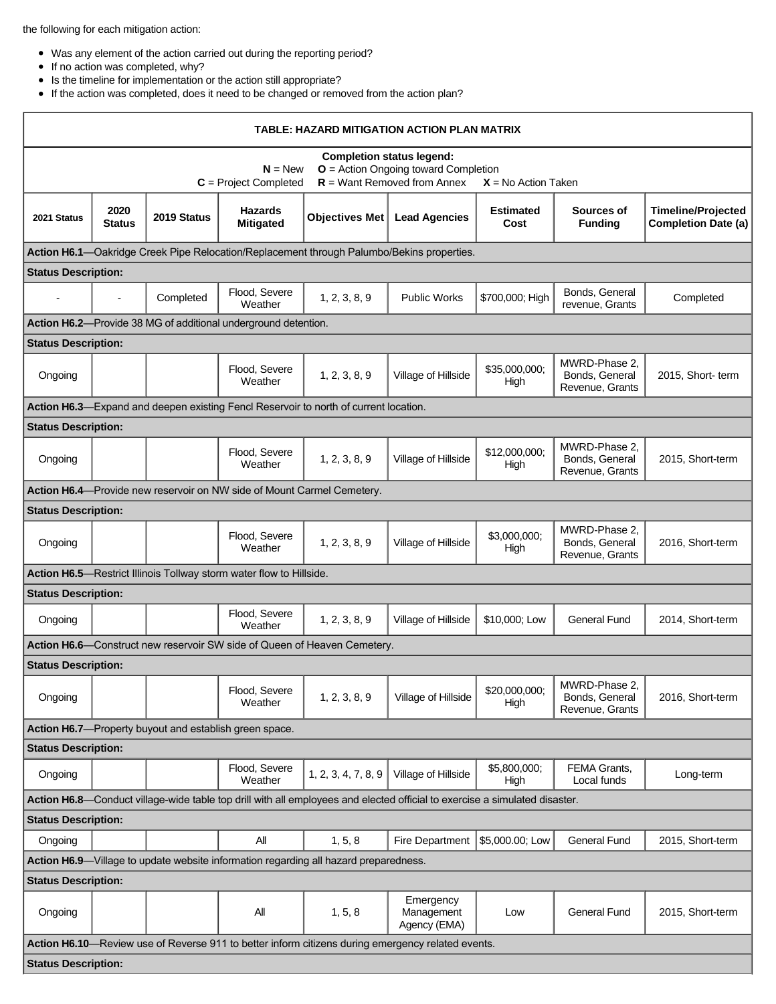the following for each mitigation action:

- Was any element of the action carried out during the reporting period?
- $\bullet$  If no action was completed, why?
- $\bullet$  Is the timeline for implementation or the action still appropriate?
- If the action was completed, does it need to be changed or removed from the action plan?

| TABLE: HAZARD MITIGATION ACTION PLAN MATRIX                                                                                                                                  |                       |             |                                                                        |                                                                                      |                                                                                           |                          |                                                    |                                                         |  |
|------------------------------------------------------------------------------------------------------------------------------------------------------------------------------|-----------------------|-------------|------------------------------------------------------------------------|--------------------------------------------------------------------------------------|-------------------------------------------------------------------------------------------|--------------------------|----------------------------------------------------|---------------------------------------------------------|--|
| <b>Completion status legend:</b><br>$O =$ Action Ongoing toward Completion<br>$N = New$<br>$R =$ Want Removed from Annex<br>$C = Project Completed$<br>$X = No$ Action Taken |                       |             |                                                                        |                                                                                      |                                                                                           |                          |                                                    |                                                         |  |
| 2021 Status                                                                                                                                                                  | 2020<br><b>Status</b> | 2019 Status | <b>Hazards</b><br><b>Mitigated</b>                                     | Objectives Met                                                                       | <b>Lead Agencies</b>                                                                      | <b>Estimated</b><br>Cost | Sources of<br><b>Funding</b>                       | <b>Timeline/Projected</b><br><b>Completion Date (a)</b> |  |
|                                                                                                                                                                              |                       |             |                                                                        |                                                                                      | Action H6.1-Oakridge Creek Pipe Relocation/Replacement through Palumbo/Bekins properties. |                          |                                                    |                                                         |  |
| <b>Status Description:</b>                                                                                                                                                   |                       |             |                                                                        |                                                                                      |                                                                                           |                          |                                                    |                                                         |  |
|                                                                                                                                                                              |                       | Completed   | Flood, Severe<br>Weather                                               | 1, 2, 3, 8, 9                                                                        | <b>Public Works</b>                                                                       | \$700,000; High          | Bonds, General<br>revenue, Grants                  | Completed                                               |  |
|                                                                                                                                                                              |                       |             | Action H6.2-Provide 38 MG of additional underground detention.         |                                                                                      |                                                                                           |                          |                                                    |                                                         |  |
| <b>Status Description:</b>                                                                                                                                                   |                       |             |                                                                        |                                                                                      |                                                                                           |                          |                                                    |                                                         |  |
| Ongoing                                                                                                                                                                      |                       |             | Flood, Severe<br>Weather                                               | 1, 2, 3, 8, 9                                                                        | Village of Hillside                                                                       | \$35,000,000;<br>High    | MWRD-Phase 2,<br>Bonds, General<br>Revenue, Grants | 2015, Short-term                                        |  |
|                                                                                                                                                                              |                       |             |                                                                        | Action H6.3—Expand and deepen existing Fencl Reservoir to north of current location. |                                                                                           |                          |                                                    |                                                         |  |
| <b>Status Description:</b>                                                                                                                                                   |                       |             |                                                                        |                                                                                      |                                                                                           |                          |                                                    |                                                         |  |
| Ongoing                                                                                                                                                                      |                       |             | Flood, Severe<br>Weather                                               | 1, 2, 3, 8, 9                                                                        | Village of Hillside                                                                       | \$12,000,000;<br>High    | MWRD-Phase 2,<br>Bonds, General<br>Revenue, Grants | 2015, Short-term                                        |  |
|                                                                                                                                                                              |                       |             | Action H6.4-Provide new reservoir on NW side of Mount Carmel Cemetery. |                                                                                      |                                                                                           |                          |                                                    |                                                         |  |
| <b>Status Description:</b>                                                                                                                                                   |                       |             |                                                                        |                                                                                      |                                                                                           |                          |                                                    |                                                         |  |
| Ongoing                                                                                                                                                                      |                       |             | Flood, Severe<br>Weather                                               | 1, 2, 3, 8, 9                                                                        | Village of Hillside                                                                       | \$3,000,000;<br>High     | MWRD-Phase 2,<br>Bonds, General<br>Revenue, Grants | 2016, Short-term                                        |  |
| Action H6.5-Restrict Illinois Tollway storm water flow to Hillside.                                                                                                          |                       |             |                                                                        |                                                                                      |                                                                                           |                          |                                                    |                                                         |  |
| <b>Status Description:</b>                                                                                                                                                   |                       |             |                                                                        |                                                                                      |                                                                                           |                          |                                                    |                                                         |  |
| Ongoing                                                                                                                                                                      |                       |             | Flood, Severe<br>Weather                                               | 1, 2, 3, 8, 9                                                                        | Village of Hillside                                                                       | \$10,000; Low            | <b>General Fund</b>                                | 2014, Short-term                                        |  |
| Action H6.6-Construct new reservoir SW side of Queen of Heaven Cemetery.                                                                                                     |                       |             |                                                                        |                                                                                      |                                                                                           |                          |                                                    |                                                         |  |
| <b>Status Description:</b>                                                                                                                                                   |                       |             |                                                                        |                                                                                      |                                                                                           |                          |                                                    |                                                         |  |
| Ongoing                                                                                                                                                                      |                       |             | Flood, Severe<br>Weather                                               | 1, 2, 3, 8, 9                                                                        | Village of Hillside                                                                       | \$20,000,000;<br>High    | MWRD-Phase 2,<br>Bonds, General<br>Revenue, Grants | 2016, Short-term                                        |  |
|                                                                                                                                                                              |                       |             | Action H6.7—Property buyout and establish green space.                 |                                                                                      |                                                                                           |                          |                                                    |                                                         |  |
| <b>Status Description:</b>                                                                                                                                                   |                       |             |                                                                        |                                                                                      |                                                                                           |                          |                                                    |                                                         |  |
| Ongoing                                                                                                                                                                      |                       |             | Flood, Severe<br>Weather                                               | 1, 2, 3, 4, 7, 8, 9                                                                  | Village of Hillside                                                                       | \$5,800,000;<br>High     | FEMA Grants,<br>Local funds                        | Long-term                                               |  |
| Action H6.8—Conduct village-wide table top drill with all employees and elected official to exercise a simulated disaster.                                                   |                       |             |                                                                        |                                                                                      |                                                                                           |                          |                                                    |                                                         |  |
| <b>Status Description:</b>                                                                                                                                                   |                       |             |                                                                        |                                                                                      |                                                                                           |                          |                                                    |                                                         |  |
| Ongoing                                                                                                                                                                      |                       |             | All                                                                    | 1, 5, 8                                                                              | Fire Department                                                                           | \$5,000.00; Low          | <b>General Fund</b>                                | 2015, Short-term                                        |  |
| Action H6.9-Village to update website information regarding all hazard preparedness.                                                                                         |                       |             |                                                                        |                                                                                      |                                                                                           |                          |                                                    |                                                         |  |
| <b>Status Description:</b>                                                                                                                                                   |                       |             |                                                                        |                                                                                      |                                                                                           |                          |                                                    |                                                         |  |
| Ongoing                                                                                                                                                                      |                       |             | All                                                                    | 1, 5, 8                                                                              | Emergency<br>Management<br>Agency (EMA)                                                   | Low                      | General Fund                                       | 2015, Short-term                                        |  |
| Action H6.10—Review use of Reverse 911 to better inform citizens during emergency related events.                                                                            |                       |             |                                                                        |                                                                                      |                                                                                           |                          |                                                    |                                                         |  |
| <b>Status Description:</b>                                                                                                                                                   |                       |             |                                                                        |                                                                                      |                                                                                           |                          |                                                    |                                                         |  |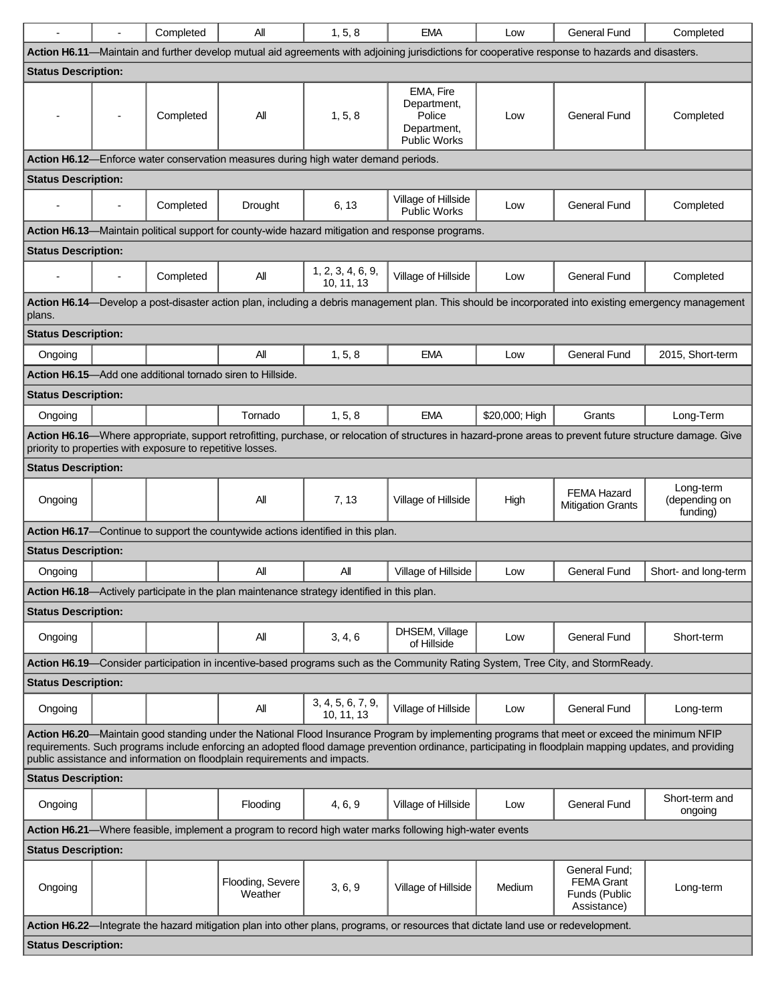| ÷,                                                                                                                                                                                                                                                                                                                                                                                  |  | Completed                                                  | All                                                                                         | 1, 5, 8                         | <b>EMA</b>                                                                                       | Low            | <b>General Fund</b>                                                                                                             | Completed                                                                                                                                                  |
|-------------------------------------------------------------------------------------------------------------------------------------------------------------------------------------------------------------------------------------------------------------------------------------------------------------------------------------------------------------------------------------|--|------------------------------------------------------------|---------------------------------------------------------------------------------------------|---------------------------------|--------------------------------------------------------------------------------------------------|----------------|---------------------------------------------------------------------------------------------------------------------------------|------------------------------------------------------------------------------------------------------------------------------------------------------------|
| Action H6.11-Maintain and further develop mutual aid agreements with adjoining jurisdictions for cooperative response to hazards and disasters.                                                                                                                                                                                                                                     |  |                                                            |                                                                                             |                                 |                                                                                                  |                |                                                                                                                                 |                                                                                                                                                            |
| <b>Status Description:</b>                                                                                                                                                                                                                                                                                                                                                          |  |                                                            |                                                                                             |                                 |                                                                                                  |                |                                                                                                                                 |                                                                                                                                                            |
|                                                                                                                                                                                                                                                                                                                                                                                     |  | Completed                                                  | All                                                                                         | 1, 5, 8                         | EMA, Fire<br>Department,<br>Police<br>Department,<br>Public Works                                | Low            | General Fund                                                                                                                    | Completed                                                                                                                                                  |
|                                                                                                                                                                                                                                                                                                                                                                                     |  |                                                            | <b>Action H6.12</b> —Enforce water conservation measures during high water demand periods.  |                                 |                                                                                                  |                |                                                                                                                                 |                                                                                                                                                            |
| <b>Status Description:</b>                                                                                                                                                                                                                                                                                                                                                          |  |                                                            |                                                                                             |                                 |                                                                                                  |                |                                                                                                                                 |                                                                                                                                                            |
|                                                                                                                                                                                                                                                                                                                                                                                     |  | Completed                                                  | Drought                                                                                     | 6, 13                           | Village of Hillside<br><b>Public Works</b>                                                       | Low            | General Fund                                                                                                                    | Completed                                                                                                                                                  |
|                                                                                                                                                                                                                                                                                                                                                                                     |  |                                                            |                                                                                             |                                 | Action H6.13-Maintain political support for county-wide hazard mitigation and response programs. |                |                                                                                                                                 |                                                                                                                                                            |
| <b>Status Description:</b>                                                                                                                                                                                                                                                                                                                                                          |  |                                                            |                                                                                             |                                 |                                                                                                  |                |                                                                                                                                 |                                                                                                                                                            |
|                                                                                                                                                                                                                                                                                                                                                                                     |  | Completed                                                  | All                                                                                         | 1, 2, 3, 4, 6, 9,<br>10, 11, 13 | Village of Hillside                                                                              | Low            | <b>General Fund</b>                                                                                                             | Completed                                                                                                                                                  |
| plans.                                                                                                                                                                                                                                                                                                                                                                              |  |                                                            |                                                                                             |                                 |                                                                                                  |                |                                                                                                                                 | Action H6.14—Develop a post-disaster action plan, including a debris management plan. This should be incorporated into existing emergency management       |
| <b>Status Description:</b>                                                                                                                                                                                                                                                                                                                                                          |  |                                                            |                                                                                             |                                 |                                                                                                  |                |                                                                                                                                 |                                                                                                                                                            |
| Ongoing                                                                                                                                                                                                                                                                                                                                                                             |  |                                                            | All                                                                                         | 1, 5, 8                         | <b>EMA</b>                                                                                       | Low            | <b>General Fund</b>                                                                                                             | 2015, Short-term                                                                                                                                           |
|                                                                                                                                                                                                                                                                                                                                                                                     |  |                                                            | Action H6.15-Add one additional tornado siren to Hillside.                                  |                                 |                                                                                                  |                |                                                                                                                                 |                                                                                                                                                            |
| <b>Status Description:</b>                                                                                                                                                                                                                                                                                                                                                          |  |                                                            |                                                                                             |                                 |                                                                                                  |                |                                                                                                                                 |                                                                                                                                                            |
| Ongoing                                                                                                                                                                                                                                                                                                                                                                             |  |                                                            | Tornado                                                                                     | 1, 5, 8                         | <b>EMA</b>                                                                                       | \$20,000; High | Grants                                                                                                                          | Long-Term                                                                                                                                                  |
|                                                                                                                                                                                                                                                                                                                                                                                     |  | priority to properties with exposure to repetitive losses. |                                                                                             |                                 |                                                                                                  |                |                                                                                                                                 | Action H6.16-Where appropriate, support retrofitting, purchase, or relocation of structures in hazard-prone areas to prevent future structure damage. Give |
| <b>Status Description:</b>                                                                                                                                                                                                                                                                                                                                                          |  |                                                            |                                                                                             |                                 |                                                                                                  |                |                                                                                                                                 |                                                                                                                                                            |
| Ongoing                                                                                                                                                                                                                                                                                                                                                                             |  |                                                            | All                                                                                         | 7, 13                           | Village of Hillside                                                                              | High           | <b>FEMA Hazard</b><br><b>Mitigation Grants</b>                                                                                  | Long-term<br>(depending on<br>funding)                                                                                                                     |
|                                                                                                                                                                                                                                                                                                                                                                                     |  |                                                            | Action H6.17—Continue to support the countywide actions identified in this plan.            |                                 |                                                                                                  |                |                                                                                                                                 |                                                                                                                                                            |
| <b>Status Description:</b>                                                                                                                                                                                                                                                                                                                                                          |  |                                                            |                                                                                             |                                 |                                                                                                  |                |                                                                                                                                 |                                                                                                                                                            |
| Ongoing                                                                                                                                                                                                                                                                                                                                                                             |  |                                                            | All                                                                                         | All                             | Village of Hillside                                                                              | Low            | General Fund                                                                                                                    | Short- and long-term                                                                                                                                       |
|                                                                                                                                                                                                                                                                                                                                                                                     |  |                                                            | Action H6.18-Actively participate in the plan maintenance strategy identified in this plan. |                                 |                                                                                                  |                |                                                                                                                                 |                                                                                                                                                            |
| <b>Status Description:</b>                                                                                                                                                                                                                                                                                                                                                          |  |                                                            |                                                                                             |                                 |                                                                                                  |                |                                                                                                                                 |                                                                                                                                                            |
| Ongoing                                                                                                                                                                                                                                                                                                                                                                             |  |                                                            | All                                                                                         | 3, 4, 6                         | DHSEM, Village<br>of Hillside                                                                    | Low            | <b>General Fund</b>                                                                                                             | Short-term                                                                                                                                                 |
|                                                                                                                                                                                                                                                                                                                                                                                     |  |                                                            |                                                                                             |                                 |                                                                                                  |                | Action H6.19—Consider participation in incentive-based programs such as the Community Rating System, Tree City, and StormReady. |                                                                                                                                                            |
| <b>Status Description:</b>                                                                                                                                                                                                                                                                                                                                                          |  |                                                            |                                                                                             |                                 |                                                                                                  |                |                                                                                                                                 |                                                                                                                                                            |
| Ongoing                                                                                                                                                                                                                                                                                                                                                                             |  |                                                            | All                                                                                         | 3, 4, 5, 6, 7, 9,<br>10, 11, 13 | Village of Hillside                                                                              | Low            | <b>General Fund</b>                                                                                                             | Long-term                                                                                                                                                  |
| Action H6.20—Maintain good standing under the National Flood Insurance Program by implementing programs that meet or exceed the minimum NFIP<br>requirements. Such programs include enforcing an adopted flood damage prevention ordinance, participating in floodplain mapping updates, and providing<br>public assistance and information on floodplain requirements and impacts. |  |                                                            |                                                                                             |                                 |                                                                                                  |                |                                                                                                                                 |                                                                                                                                                            |
| <b>Status Description:</b>                                                                                                                                                                                                                                                                                                                                                          |  |                                                            |                                                                                             |                                 |                                                                                                  |                |                                                                                                                                 |                                                                                                                                                            |
| Ongoing                                                                                                                                                                                                                                                                                                                                                                             |  |                                                            | Flooding                                                                                    | 4, 6, 9                         | Village of Hillside                                                                              | Low            | General Fund                                                                                                                    | Short-term and<br>ongoing                                                                                                                                  |
| Action H6.21—Where feasible, implement a program to record high water marks following high-water events                                                                                                                                                                                                                                                                             |  |                                                            |                                                                                             |                                 |                                                                                                  |                |                                                                                                                                 |                                                                                                                                                            |
| <b>Status Description:</b>                                                                                                                                                                                                                                                                                                                                                          |  |                                                            |                                                                                             |                                 |                                                                                                  |                |                                                                                                                                 |                                                                                                                                                            |
| Ongoing                                                                                                                                                                                                                                                                                                                                                                             |  |                                                            | Flooding, Severe<br>Weather                                                                 | 3, 6, 9                         | Village of Hillside                                                                              | Medium         | General Fund;<br><b>FEMA Grant</b><br>Funds (Public<br>Assistance)                                                              | Long-term                                                                                                                                                  |
| Action H6.22—Integrate the hazard mitigation plan into other plans, programs, or resources that dictate land use or redevelopment.                                                                                                                                                                                                                                                  |  |                                                            |                                                                                             |                                 |                                                                                                  |                |                                                                                                                                 |                                                                                                                                                            |
| <b>Status Description:</b>                                                                                                                                                                                                                                                                                                                                                          |  |                                                            |                                                                                             |                                 |                                                                                                  |                |                                                                                                                                 |                                                                                                                                                            |